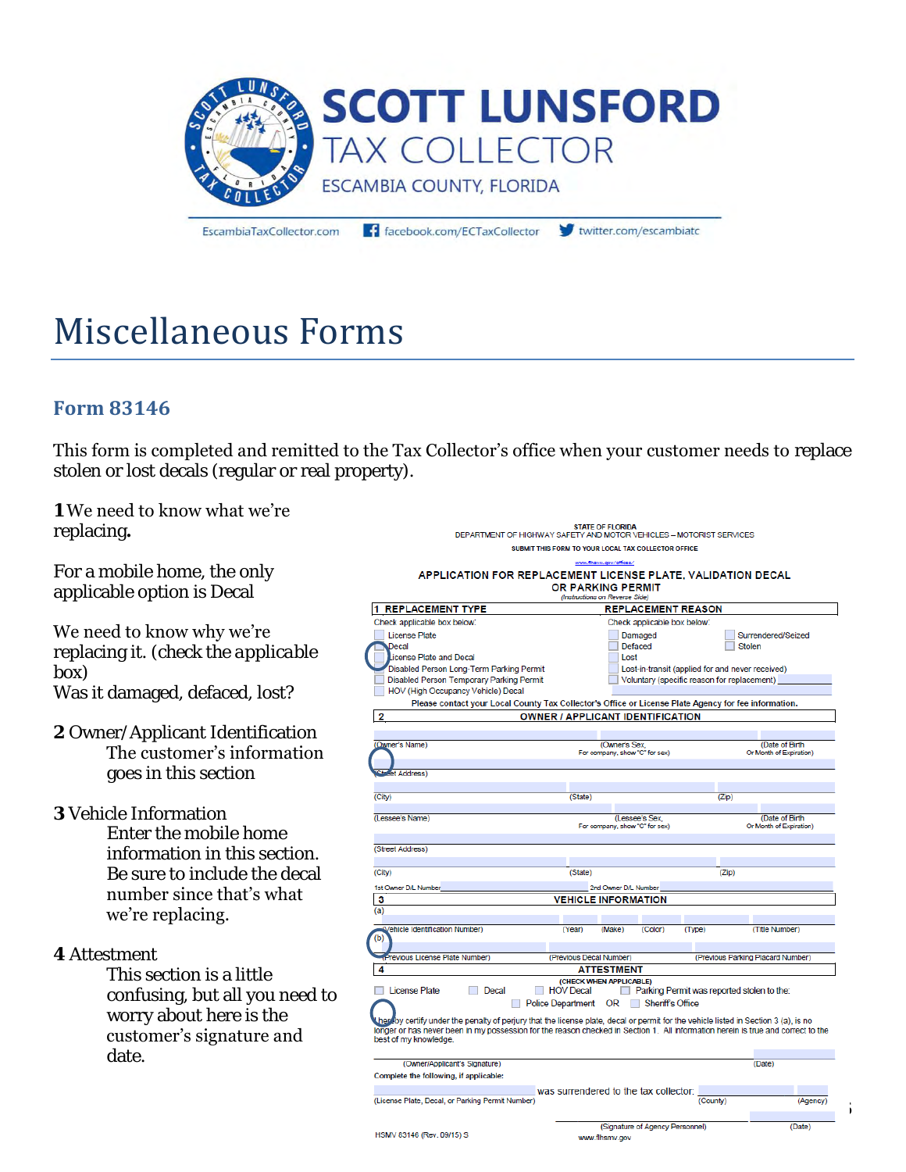

EscambiaTaxCollector.com

facebook.com/ECTaxCollector

twitter.com/escambiato

# Miscellaneous Forms

## **Form 83146**

This form is completed and remitted to the Tax Collector's office when your customer needs to replace stolen or lost decals (regular or real property).

## **1** We need to know what we're

replacing**.** 

For a mobile home, the only applicable option is Decal

#### We need to know why we're

replacing it. *(check the applicable box)* Was it damaged, defaced, lost?

**2** Owner/Applicant Identification The customer's information goes in this section

**3** Vehicle Information

Enter the mobile home information in this section. Be sure to include the decal number since that's what we're replacing.

**4** Attestment

This section is a little confusing, but all you need to worry about here is the customer's signature and date.

|                                                                                                                                    | <b>STATE OF FLORIDA</b>                          |                                                  |                                            |  |  |  |  |  |  |  |
|------------------------------------------------------------------------------------------------------------------------------------|--------------------------------------------------|--------------------------------------------------|--------------------------------------------|--|--|--|--|--|--|--|
| DEPARTMENT OF HIGHWAY SAFETY AND MOTOR VEHICLES - MOTORIST SERVICES                                                                |                                                  |                                                  |                                            |  |  |  |  |  |  |  |
| SUBMIT THIS FORM TO YOUR LOCAL TAX COLLECTOR OFFICE                                                                                |                                                  |                                                  |                                            |  |  |  |  |  |  |  |
|                                                                                                                                    | www.fihsny.gov/offices/                          |                                                  |                                            |  |  |  |  |  |  |  |
| APPLICATION FOR REPLACEMENT LICENSE PLATE, VALIDATION DECAL                                                                        |                                                  |                                                  |                                            |  |  |  |  |  |  |  |
| <b>OR PARKING PERMIT</b><br>(Instructions on Reverse Side)                                                                         |                                                  |                                                  |                                            |  |  |  |  |  |  |  |
| <b>REPLACEMENT TYPE</b><br><b>REPLACEMENT REASON</b><br>11                                                                         |                                                  |                                                  |                                            |  |  |  |  |  |  |  |
| Check applicable box below:                                                                                                        | Check applicable box below:                      |                                                  |                                            |  |  |  |  |  |  |  |
| <b>License Plate</b>                                                                                                               | Damaged                                          |                                                  | Surrendered/Seized                         |  |  |  |  |  |  |  |
| Decal                                                                                                                              | <b>Defaced</b>                                   |                                                  | <b>Stolen</b>                              |  |  |  |  |  |  |  |
| icense Plate and Decal                                                                                                             | Lost                                             |                                                  |                                            |  |  |  |  |  |  |  |
| Disabled Person Long-Term Parking Permit                                                                                           |                                                  | Lost-in-transit (applied for and never received) |                                            |  |  |  |  |  |  |  |
| Disabled Person Temporary Parking Permit                                                                                           |                                                  | Voluntary (specific reason for replacement)      |                                            |  |  |  |  |  |  |  |
| HOV (High Occupancy Vehicle) Decal                                                                                                 |                                                  |                                                  |                                            |  |  |  |  |  |  |  |
| Please contact your Local County Tax Collector's Office or License Plate Agency for fee information.                               |                                                  |                                                  |                                            |  |  |  |  |  |  |  |
| $\overline{2}$                                                                                                                     | OWNER / APPLICANT IDENTIFICATION                 |                                                  |                                            |  |  |  |  |  |  |  |
|                                                                                                                                    |                                                  |                                                  |                                            |  |  |  |  |  |  |  |
| (Owner's Name)                                                                                                                     | (Owner's Sex,                                    |                                                  | (Date of Birth                             |  |  |  |  |  |  |  |
|                                                                                                                                    | For company, show "C" for sex)                   |                                                  | Or Month of Expiration)                    |  |  |  |  |  |  |  |
| et Address)                                                                                                                        |                                                  |                                                  |                                            |  |  |  |  |  |  |  |
|                                                                                                                                    |                                                  |                                                  |                                            |  |  |  |  |  |  |  |
| (City)                                                                                                                             | (State)                                          |                                                  | (Zip)                                      |  |  |  |  |  |  |  |
|                                                                                                                                    |                                                  |                                                  |                                            |  |  |  |  |  |  |  |
| (Lessee's Name)                                                                                                                    | (Lessee's Sex.<br>For company, show "C" for sex) |                                                  | (Date of Birth)<br>Or Month of Expiration) |  |  |  |  |  |  |  |
|                                                                                                                                    |                                                  |                                                  |                                            |  |  |  |  |  |  |  |
| (Street Address)                                                                                                                   |                                                  |                                                  |                                            |  |  |  |  |  |  |  |
|                                                                                                                                    |                                                  |                                                  |                                            |  |  |  |  |  |  |  |
| (City)                                                                                                                             | (State)                                          |                                                  | (Zip)                                      |  |  |  |  |  |  |  |
| 1st Owner D/L Number                                                                                                               | 2nd Owner D/L Number                             |                                                  |                                            |  |  |  |  |  |  |  |
| 3                                                                                                                                  | <b>VEHICLE INFORMATION</b>                       |                                                  |                                            |  |  |  |  |  |  |  |
| (a)                                                                                                                                |                                                  |                                                  |                                            |  |  |  |  |  |  |  |
| (Vehicle Identification Number)                                                                                                    | (Year)<br>(Make)                                 | (Color)<br>(Type)                                | (Title Number)                             |  |  |  |  |  |  |  |
| (b)                                                                                                                                |                                                  |                                                  |                                            |  |  |  |  |  |  |  |
| <sup>5</sup> revious License Plate Number)                                                                                         | (Previous Decal Number)                          |                                                  | (Previous Parking Placard Number)          |  |  |  |  |  |  |  |
| 4                                                                                                                                  | <b>ATTESTMENT</b>                                |                                                  |                                            |  |  |  |  |  |  |  |
|                                                                                                                                    | (CHECK WHEN APPLICABLE)                          |                                                  |                                            |  |  |  |  |  |  |  |
| <b>License Plate</b><br>Decal                                                                                                      | <b>HOV</b> Decal                                 | Parking Permit was reported stolen to the:       |                                            |  |  |  |  |  |  |  |
|                                                                                                                                    | Police Department OR                             | Sheriff's Office                                 |                                            |  |  |  |  |  |  |  |
| hepeby certify under the penalty of perjury that the license plate, decal or permit for the vehicle listed in Section 3 (a), is no |                                                  |                                                  |                                            |  |  |  |  |  |  |  |
| longer or has never been in my possession for the reason checked in Section 1. All information herein is true and correct to the   |                                                  |                                                  |                                            |  |  |  |  |  |  |  |
| best of my knowledge.                                                                                                              |                                                  |                                                  |                                            |  |  |  |  |  |  |  |
|                                                                                                                                    |                                                  |                                                  |                                            |  |  |  |  |  |  |  |
| (Owner/Applicant's Signature)                                                                                                      |                                                  |                                                  | (Date)                                     |  |  |  |  |  |  |  |
| Complete the following, if applicable:                                                                                             |                                                  |                                                  |                                            |  |  |  |  |  |  |  |
|                                                                                                                                    | was surrendered to the tax collector:            |                                                  |                                            |  |  |  |  |  |  |  |
| (License Plate, Decal, or Parking Permit Number)                                                                                   |                                                  | (County)                                         | (Agency)                                   |  |  |  |  |  |  |  |
|                                                                                                                                    |                                                  |                                                  |                                            |  |  |  |  |  |  |  |
| HSMV 83146 (Rev. 09/15) S                                                                                                          |                                                  | (Signature of Agency Personnel)                  | (Date)                                     |  |  |  |  |  |  |  |
|                                                                                                                                    | www.flhsmv.gov                                   |                                                  |                                            |  |  |  |  |  |  |  |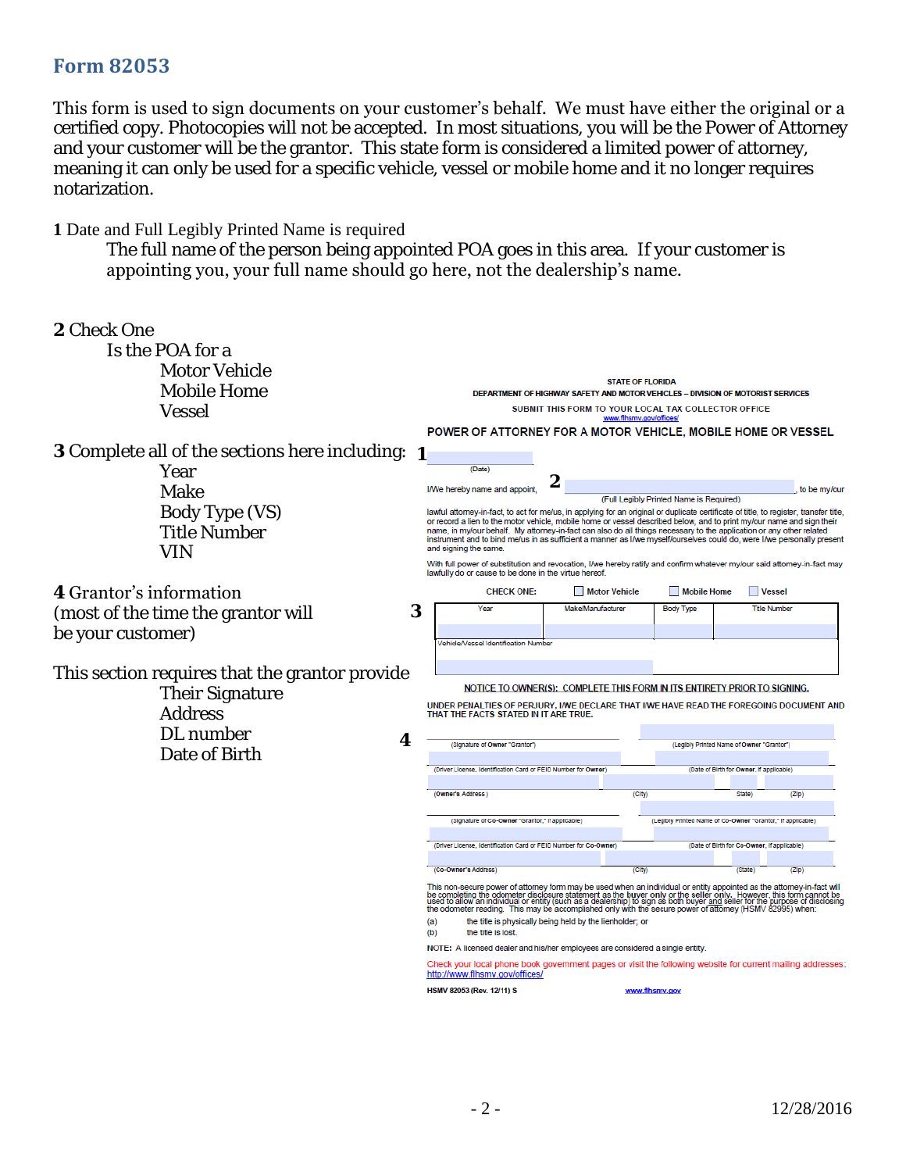### **Form 82053**

This form is used to sign documents on your customer's behalf. We must have either the original or a certified copy. Photocopies will not be accepted. In most situations, you will be the Power of Attorney and your customer will be the grantor. This state form is considered a limited power of attorney, meaning it can only be used for a specific vehicle, vessel or mobile home and it no longer requires notarization.

#### **1** Date and Full Legibly Printed Name is required

The full name of the person being appointed POA goes in this area. If your customer is appointing you, your full name should go here, not the dealership's name.

| 2 Check One<br>Is the POA for a<br>Motor Vehicle<br>Mobile Home              |                                                                                                                                                                                                                                                                                                                                   |                                                                                                                                                                                                                                                                                                                                                                                                                                                                                                                                                                                       |                                                                                                            |                   | <b>STATE OF FLORIDA</b> |                                                            |                                           |                     |  |  |
|------------------------------------------------------------------------------|-----------------------------------------------------------------------------------------------------------------------------------------------------------------------------------------------------------------------------------------------------------------------------------------------------------------------------------|---------------------------------------------------------------------------------------------------------------------------------------------------------------------------------------------------------------------------------------------------------------------------------------------------------------------------------------------------------------------------------------------------------------------------------------------------------------------------------------------------------------------------------------------------------------------------------------|------------------------------------------------------------------------------------------------------------|-------------------|-------------------------|------------------------------------------------------------|-------------------------------------------|---------------------|--|--|
| Vessel                                                                       | DEPARTMENT OF HIGHWAY SAFETY AND MOTOR VEHICLES - DIVISION OF MOTORIST SERVICES<br>SUBMIT THIS FORM TO YOUR LOCAL TAX COLLECTOR OFFICE                                                                                                                                                                                            |                                                                                                                                                                                                                                                                                                                                                                                                                                                                                                                                                                                       |                                                                                                            |                   |                         |                                                            |                                           |                     |  |  |
|                                                                              |                                                                                                                                                                                                                                                                                                                                   | www.flhsmv.gov/offices/<br>POWER OF ATTORNEY FOR A MOTOR VEHICLE, MOBILE HOME OR VESSEL                                                                                                                                                                                                                                                                                                                                                                                                                                                                                               |                                                                                                            |                   |                         |                                                            |                                           |                     |  |  |
| 3 Complete all of the sections here including:                               |                                                                                                                                                                                                                                                                                                                                   |                                                                                                                                                                                                                                                                                                                                                                                                                                                                                                                                                                                       |                                                                                                            |                   |                         |                                                            |                                           |                     |  |  |
| Year                                                                         |                                                                                                                                                                                                                                                                                                                                   | (Date)                                                                                                                                                                                                                                                                                                                                                                                                                                                                                                                                                                                |                                                                                                            |                   |                         |                                                            |                                           |                     |  |  |
| Make                                                                         |                                                                                                                                                                                                                                                                                                                                   | I/We hereby name and appoint,                                                                                                                                                                                                                                                                                                                                                                                                                                                                                                                                                         |                                                                                                            |                   |                         |                                                            |                                           | to be my/our        |  |  |
| Body Type (VS)<br><b>Title Number</b><br>VIN                                 |                                                                                                                                                                                                                                                                                                                                   | (Full Legibly Printed Name is Required)<br>lawful attorney-in-fact, to act for me/us, in applying for an original or duplicate certificate of title, to register, transfer title,<br>or record a lien to the motor vehicle, mobile home or vessel described below, and to print my/our name and sign their<br>name, in my/our behalf. My attorney-in-fact can also do all things necessary to the application or any other related<br>instrument and to bind me/us in as sufficient a manner as I/we myself/ourselves could do, were I/we personally present<br>and signing the same. |                                                                                                            |                   |                         |                                                            |                                           |                     |  |  |
|                                                                              |                                                                                                                                                                                                                                                                                                                                   | With full power of substitution and revocation, I/we hereby ratify and confirm whatever my/our said attorney-in-fact may<br>lawfully do or cause to be done in the virtue hereof.                                                                                                                                                                                                                                                                                                                                                                                                     |                                                                                                            |                   |                         |                                                            |                                           |                     |  |  |
| 4 Grantor's information                                                      |                                                                                                                                                                                                                                                                                                                                   | <b>CHECK ONE:</b>                                                                                                                                                                                                                                                                                                                                                                                                                                                                                                                                                                     |                                                                                                            |                   | <b>Motor Vehicle</b>    | <b>Mobile Home</b>                                         |                                           | <b>Vessel</b>       |  |  |
| (most of the time the grantor will                                           | 3                                                                                                                                                                                                                                                                                                                                 | Year                                                                                                                                                                                                                                                                                                                                                                                                                                                                                                                                                                                  |                                                                                                            | Make/Manufacturer |                         | <b>Body Type</b>                                           |                                           | <b>Title Number</b> |  |  |
| be your customer)                                                            |                                                                                                                                                                                                                                                                                                                                   |                                                                                                                                                                                                                                                                                                                                                                                                                                                                                                                                                                                       |                                                                                                            |                   |                         |                                                            |                                           |                     |  |  |
|                                                                              |                                                                                                                                                                                                                                                                                                                                   | Vehicle/Vessel Identification Number                                                                                                                                                                                                                                                                                                                                                                                                                                                                                                                                                  |                                                                                                            |                   |                         |                                                            |                                           |                     |  |  |
| This section requires that the grantor provide<br>Their Signature<br>Address | NOTICE TO OWNER(S): COMPLETE THIS FORM IN ITS ENTIRETY PRIOR TO SIGNING.<br>UNDER PENALTIES OF PERJURY, I/WE DECLARE THAT I/WE HAVE READ THE FOREGOING DOCUMENT AND<br>THAT THE FACTS STATED IN IT ARE TRUE.                                                                                                                      |                                                                                                                                                                                                                                                                                                                                                                                                                                                                                                                                                                                       |                                                                                                            |                   |                         |                                                            |                                           |                     |  |  |
| DL number<br>4<br>Date of Birth                                              |                                                                                                                                                                                                                                                                                                                                   | (Signature of Owner "Grantor"<br>(Driver License, Identification Card or FEID Number for Owner)                                                                                                                                                                                                                                                                                                                                                                                                                                                                                       |                                                                                                            |                   |                         |                                                            | (Legibly Printed Name of Owner "Grantor") |                     |  |  |
|                                                                              |                                                                                                                                                                                                                                                                                                                                   |                                                                                                                                                                                                                                                                                                                                                                                                                                                                                                                                                                                       |                                                                                                            |                   |                         | (Date of Birth for Owner, if applicable)                   |                                           |                     |  |  |
|                                                                              |                                                                                                                                                                                                                                                                                                                                   |                                                                                                                                                                                                                                                                                                                                                                                                                                                                                                                                                                                       |                                                                                                            |                   |                         |                                                            |                                           |                     |  |  |
|                                                                              |                                                                                                                                                                                                                                                                                                                                   | (Owner's Address)                                                                                                                                                                                                                                                                                                                                                                                                                                                                                                                                                                     |                                                                                                            |                   | (City)                  |                                                            | State)                                    | (Z p)               |  |  |
|                                                                              |                                                                                                                                                                                                                                                                                                                                   | (Slonature of Co-Owner "Grantor," If applicable)<br>(Driver License, Identification Card or FEID Number for Co-Owner)                                                                                                                                                                                                                                                                                                                                                                                                                                                                 |                                                                                                            |                   |                         | (Legibly Printed Name of Co-Owner "Grantor," If applicable |                                           |                     |  |  |
|                                                                              |                                                                                                                                                                                                                                                                                                                                   |                                                                                                                                                                                                                                                                                                                                                                                                                                                                                                                                                                                       |                                                                                                            |                   |                         | (Date of Birth for Co-Owner, if applicable)                |                                           |                     |  |  |
|                                                                              |                                                                                                                                                                                                                                                                                                                                   | (Co-Owner's Address)                                                                                                                                                                                                                                                                                                                                                                                                                                                                                                                                                                  |                                                                                                            |                   | (City)                  |                                                            | (State)                                   | (ZID)               |  |  |
|                                                                              | This non-secure power of attorney form may be used when an individual or entity appointed as the attorney-in-fact will<br>be completing the odometer disclosure statement as the buyer only or the seller only. However, this for<br>the title is physically being held by the lienholder; or<br>(a)<br>the title is lost.<br>(b) |                                                                                                                                                                                                                                                                                                                                                                                                                                                                                                                                                                                       |                                                                                                            |                   |                         |                                                            |                                           |                     |  |  |
|                                                                              | NOTE: A licensed dealer and his/her employees are considered a single entity.                                                                                                                                                                                                                                                     |                                                                                                                                                                                                                                                                                                                                                                                                                                                                                                                                                                                       |                                                                                                            |                   |                         |                                                            |                                           |                     |  |  |
|                                                                              |                                                                                                                                                                                                                                                                                                                                   | http://www.fihsmv.gov/offices/                                                                                                                                                                                                                                                                                                                                                                                                                                                                                                                                                        | Check your local phone book government pages or visit the following website for current mailing addresses: |                   |                         |                                                            |                                           |                     |  |  |
|                                                                              |                                                                                                                                                                                                                                                                                                                                   | HSMV 82053 (Rev. 12/11) S                                                                                                                                                                                                                                                                                                                                                                                                                                                                                                                                                             |                                                                                                            |                   |                         | www.fihsmv.gov                                             |                                           |                     |  |  |
|                                                                              |                                                                                                                                                                                                                                                                                                                                   |                                                                                                                                                                                                                                                                                                                                                                                                                                                                                                                                                                                       |                                                                                                            |                   |                         |                                                            |                                           |                     |  |  |